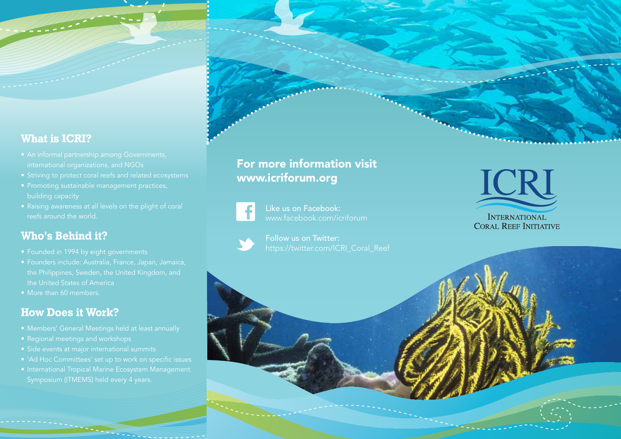#### **What is ICRI?**

- 
- 
- 
- 

#### **Who's Behind it?**

- 
- the United States of America
- More than 60 members.

#### **How Does it Work?**

- 
- 
- Side events at major international summits
- 
- 

### For more information visit www.icriforum.org



Like us on Facebook: www.facebook.com/icriforum

Follow us on Twitter: https://twitter.com/ICRI\_Coral\_Reef